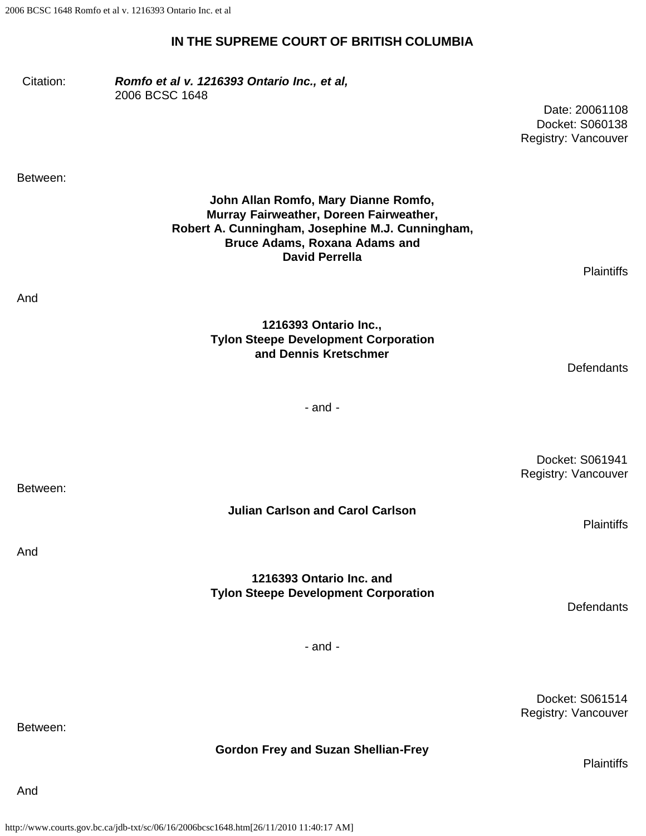#### **IN THE SUPREME COURT OF BRITISH COLUMBIA**

Citation: *Romfo et al v. 1216393 Ontario Inc., et al,* 2006 BCSC 1648

> Date: 20061108 Docket: S060138 Registry: Vancouver

Between:

And

**John Allan Romfo, Mary Dianne Romfo, Murray Fairweather, Doreen Fairweather, Robert A. Cunningham, Josephine M.J. Cunningham, Bruce Adams, Roxana Adams and David Perrella**

**Plaintiffs** 

**Defendants** 

- and -

**Julian Carlson and Carol Carlson**

**1216393 Ontario Inc. and Tylon Steepe Development Corporation**

**1216393 Ontario Inc., Tylon Steepe Development Corporation and Dennis Kretschmer**

> Docket: S061941 Registry: Vancouver

> > **Plaintiffs**

**Defendants** 

- and -

Docket: S061514 Registry: Vancouver

**Plaintiffs** 

Between:

Between:

And

**Gordon Frey and Suzan Shellian-Frey**

And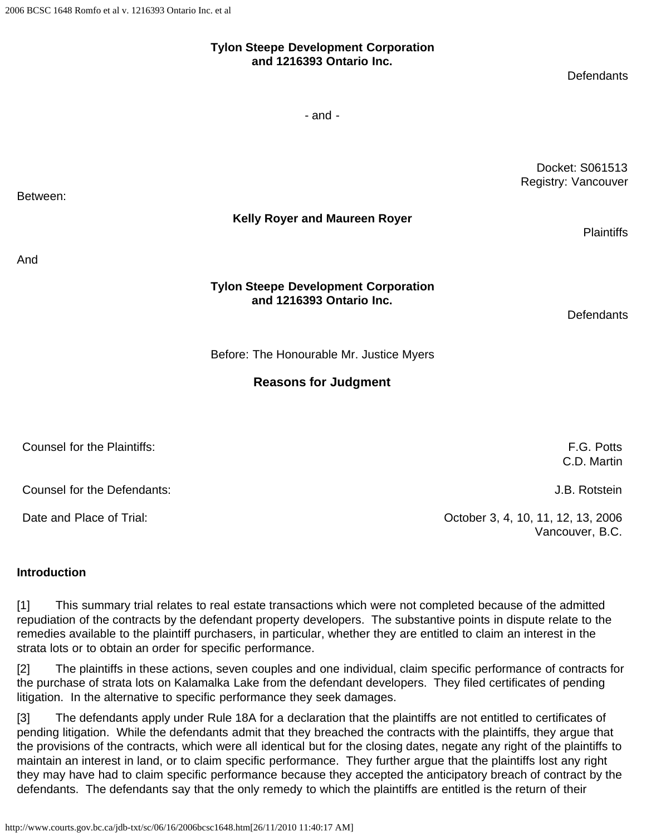# **Tylon Steepe Development Corporation and 1216393 Ontario Inc.**

**Defendants** 

- and -

Docket: S061513 Registry: Vancouver

**Kelly Royer and Maureen Royer**

And

Between:

#### **Tylon Steepe Development Corporation and 1216393 Ontario Inc.**

**Defendants** 

**Plaintiffs** 

Before: The Honourable Mr. Justice Myers

## **Reasons for Judgment**

| Counsel for the Plaintiffs: | F.G. Potts<br>C.D. Martin                             |
|-----------------------------|-------------------------------------------------------|
| Counsel for the Defendants: | J.B. Rotstein                                         |
| Date and Place of Trial:    | October 3, 4, 10, 11, 12, 13, 2006<br>Vancouver, B.C. |

#### **Introduction**

[1] This summary trial relates to real estate transactions which were not completed because of the admitted repudiation of the contracts by the defendant property developers. The substantive points in dispute relate to the remedies available to the plaintiff purchasers, in particular, whether they are entitled to claim an interest in the strata lots or to obtain an order for specific performance.

[2] The plaintiffs in these actions, seven couples and one individual, claim specific performance of contracts for the purchase of strata lots on Kalamalka Lake from the defendant developers. They filed certificates of pending litigation. In the alternative to specific performance they seek damages.

[3] The defendants apply under Rule 18A for a declaration that the plaintiffs are not entitled to certificates of pending litigation. While the defendants admit that they breached the contracts with the plaintiffs, they argue that the provisions of the contracts, which were all identical but for the closing dates, negate any right of the plaintiffs to maintain an interest in land, or to claim specific performance. They further argue that the plaintiffs lost any right they may have had to claim specific performance because they accepted the anticipatory breach of contract by the defendants. The defendants say that the only remedy to which the plaintiffs are entitled is the return of their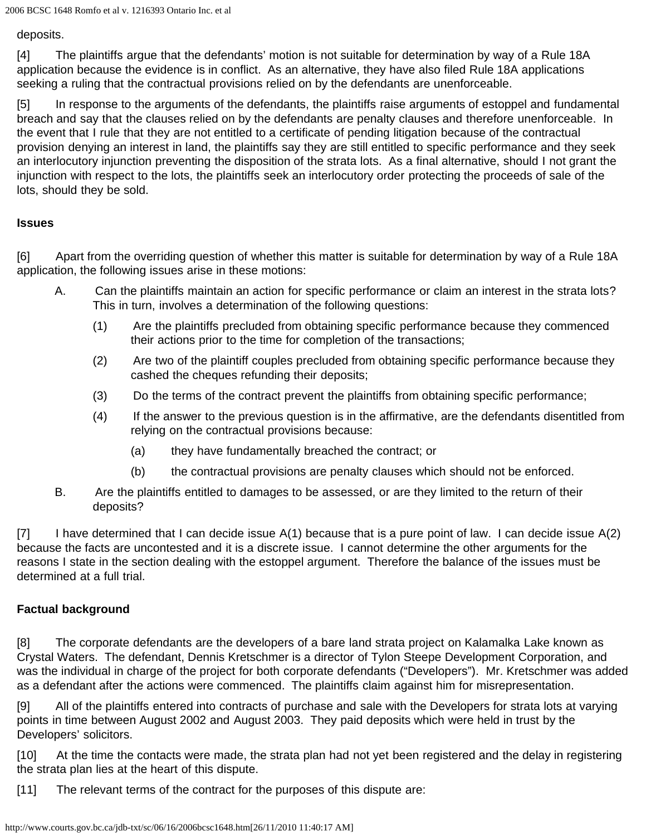2006 BCSC 1648 Romfo et al v. 1216393 Ontario Inc. et al

deposits.

[4] The plaintiffs argue that the defendants' motion is not suitable for determination by way of a Rule 18A application because the evidence is in conflict. As an alternative, they have also filed Rule 18A applications seeking a ruling that the contractual provisions relied on by the defendants are unenforceable.

[5] In response to the arguments of the defendants, the plaintiffs raise arguments of estoppel and fundamental breach and say that the clauses relied on by the defendants are penalty clauses and therefore unenforceable. In the event that I rule that they are not entitled to a certificate of pending litigation because of the contractual provision denying an interest in land, the plaintiffs say they are still entitled to specific performance and they seek an interlocutory injunction preventing the disposition of the strata lots. As a final alternative, should I not grant the injunction with respect to the lots, the plaintiffs seek an interlocutory order protecting the proceeds of sale of the lots, should they be sold.

## **Issues**

[6] Apart from the overriding question of whether this matter is suitable for determination by way of a Rule 18A application, the following issues arise in these motions:

- A. Can the plaintiffs maintain an action for specific performance or claim an interest in the strata lots? This in turn, involves a determination of the following questions:
	- (1) Are the plaintiffs precluded from obtaining specific performance because they commenced their actions prior to the time for completion of the transactions;
	- (2) Are two of the plaintiff couples precluded from obtaining specific performance because they cashed the cheques refunding their deposits;
	- (3) Do the terms of the contract prevent the plaintiffs from obtaining specific performance;
	- (4) If the answer to the previous question is in the affirmative, are the defendants disentitled from relying on the contractual provisions because:
		- (a) they have fundamentally breached the contract; or
		- (b) the contractual provisions are penalty clauses which should not be enforced.
- B. Are the plaintiffs entitled to damages to be assessed, or are they limited to the return of their deposits?

[7] I have determined that I can decide issue A(1) because that is a pure point of law. I can decide issue A(2) because the facts are uncontested and it is a discrete issue. I cannot determine the other arguments for the reasons I state in the section dealing with the estoppel argument. Therefore the balance of the issues must be determined at a full trial.

## **Factual background**

[8] The corporate defendants are the developers of a bare land strata project on Kalamalka Lake known as Crystal Waters. The defendant, Dennis Kretschmer is a director of Tylon Steepe Development Corporation, and was the individual in charge of the project for both corporate defendants ("Developers"). Mr. Kretschmer was added as a defendant after the actions were commenced. The plaintiffs claim against him for misrepresentation.

[9] All of the plaintiffs entered into contracts of purchase and sale with the Developers for strata lots at varying points in time between August 2002 and August 2003. They paid deposits which were held in trust by the Developers' solicitors.

[10] At the time the contacts were made, the strata plan had not yet been registered and the delay in registering the strata plan lies at the heart of this dispute.

[11] The relevant terms of the contract for the purposes of this dispute are: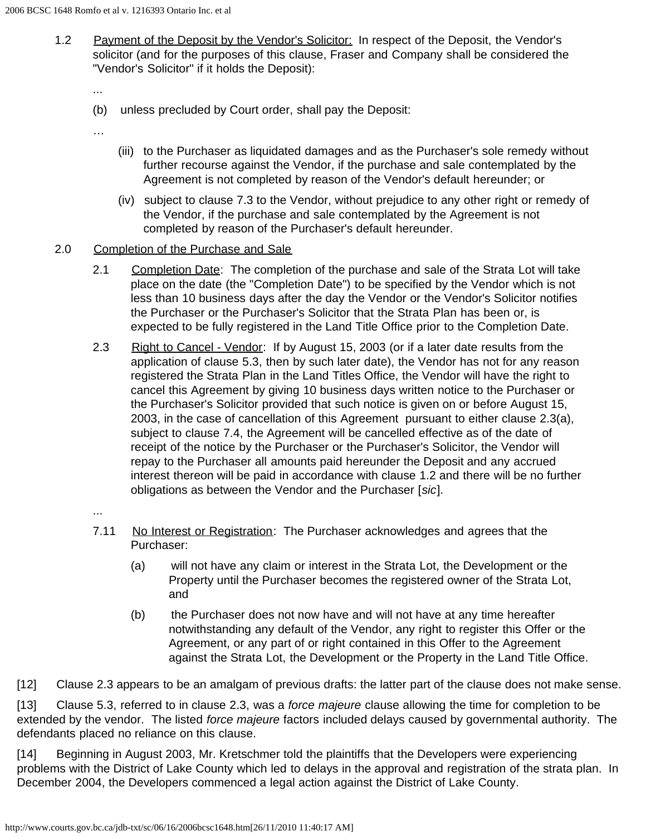1.2 Payment of the Deposit by the Vendor's Solicitor: In respect of the Deposit, the Vendor's solicitor (and for the purposes of this clause, Fraser and Company shall be considered the "Vendor's Solicitor" if it holds the Deposit):

...

- (b) unless precluded by Court order, shall pay the Deposit:
- …
- (iii) to the Purchaser as liquidated damages and as the Purchaser's sole remedy without further recourse against the Vendor, if the purchase and sale contemplated by the Agreement is not completed by reason of the Vendor's default hereunder; or
- (iv) subject to clause 7.3 to the Vendor, without prejudice to any other right or remedy of the Vendor, if the purchase and sale contemplated by the Agreement is not completed by reason of the Purchaser's default hereunder.
- 2.0 Completion of the Purchase and Sale
	- 2.1 Completion Date: The completion of the purchase and sale of the Strata Lot will take place on the date (the "Completion Date") to be specified by the Vendor which is not less than 10 business days after the day the Vendor or the Vendor's Solicitor notifies the Purchaser or the Purchaser's Solicitor that the Strata Plan has been or, is expected to be fully registered in the Land Title Office prior to the Completion Date.
	- 2.3 Right to Cancel Vendor: If by August 15, 2003 (or if a later date results from the application of clause 5.3, then by such later date), the Vendor has not for any reason registered the Strata Plan in the Land Titles Office, the Vendor will have the right to cancel this Agreement by giving 10 business days written notice to the Purchaser or the Purchaser's Solicitor provided that such notice is given on or before August 15, 2003, in the case of cancellation of this Agreement pursuant to either clause 2.3(a), subject to clause 7.4, the Agreement will be cancelled effective as of the date of receipt of the notice by the Purchaser or the Purchaser's Solicitor, the Vendor will repay to the Purchaser all amounts paid hereunder the Deposit and any accrued interest thereon will be paid in accordance with clause 1.2 and there will be no further obligations as between the Vendor and the Purchaser [*sic*].
	- ...
	- 7.11 No Interest or Registration: The Purchaser acknowledges and agrees that the Purchaser:
		- (a) will not have any claim or interest in the Strata Lot, the Development or the Property until the Purchaser becomes the registered owner of the Strata Lot, and
		- (b) the Purchaser does not now have and will not have at any time hereafter notwithstanding any default of the Vendor, any right to register this Offer or the Agreement, or any part of or right contained in this Offer to the Agreement against the Strata Lot, the Development or the Property in the Land Title Office.

[12] Clause 2.3 appears to be an amalgam of previous drafts: the latter part of the clause does not make sense.

[13] Clause 5.3, referred to in clause 2.3, was a *force majeure* clause allowing the time for completion to be extended by the vendor. The listed *force majeure* factors included delays caused by governmental authority. The defendants placed no reliance on this clause.

[14] Beginning in August 2003, Mr. Kretschmer told the plaintiffs that the Developers were experiencing problems with the District of Lake County which led to delays in the approval and registration of the strata plan. In December 2004, the Developers commenced a legal action against the District of Lake County.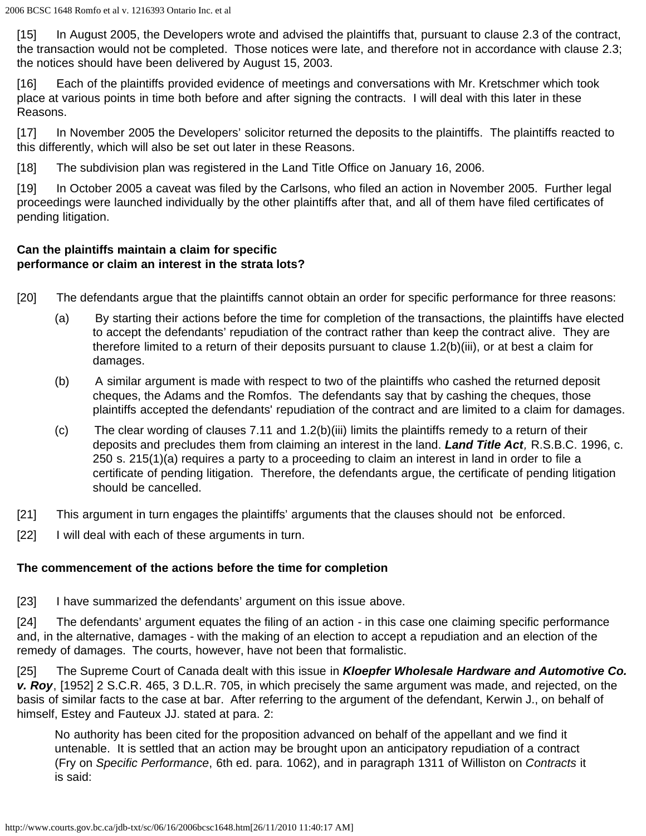[15] In August 2005, the Developers wrote and advised the plaintiffs that, pursuant to clause 2.3 of the contract, the transaction would not be completed. Those notices were late, and therefore not in accordance with clause 2.3; the notices should have been delivered by August 15, 2003.

[16] Each of the plaintiffs provided evidence of meetings and conversations with Mr. Kretschmer which took place at various points in time both before and after signing the contracts. I will deal with this later in these Reasons.

[17] In November 2005 the Developers' solicitor returned the deposits to the plaintiffs. The plaintiffs reacted to this differently, which will also be set out later in these Reasons.

[18] The subdivision plan was registered in the Land Title Office on January 16, 2006.

[19] In October 2005 a caveat was filed by the Carlsons, who filed an action in November 2005. Further legal proceedings were launched individually by the other plaintiffs after that, and all of them have filed certificates of pending litigation.

# **Can the plaintiffs maintain a claim for specific performance or claim an interest in the strata lots?**

- [20] The defendants argue that the plaintiffs cannot obtain an order for specific performance for three reasons:
	- (a) By starting their actions before the time for completion of the transactions, the plaintiffs have elected to accept the defendants' repudiation of the contract rather than keep the contract alive. They are therefore limited to a return of their deposits pursuant to clause 1.2(b)(iii), or at best a claim for damages.
	- (b) A similar argument is made with respect to two of the plaintiffs who cashed the returned deposit cheques, the Adams and the Romfos. The defendants say that by cashing the cheques, those plaintiffs accepted the defendants' repudiation of the contract and are limited to a claim for damages.
	- (c) The clear wording of clauses 7.11 and 1.2(b)(iii) limits the plaintiffs remedy to a return of their deposits and precludes them from claiming an interest in the land. *Land Title Act,* R.S.B.C. 1996, c. 250 s. 215(1)(a) requires a party to a proceeding to claim an interest in land in order to file a certificate of pending litigation. Therefore, the defendants argue, the certificate of pending litigation should be cancelled.
- [21] This argument in turn engages the plaintiffs' arguments that the clauses should not be enforced.
- [22] I will deal with each of these arguments in turn.

## **The commencement of the actions before the time for completion**

[23] I have summarized the defendants' argument on this issue above.

[24] The defendants' argument equates the filing of an action - in this case one claiming specific performance and, in the alternative, damages - with the making of an election to accept a repudiation and an election of the remedy of damages. The courts, however, have not been that formalistic.

[25] The Supreme Court of Canada dealt with this issue in *Kloepfer Wholesale Hardware and Automotive Co. v. Roy*, [1952] 2 S.C.R. 465, 3 D.L.R. 705, in which precisely the same argument was made, and rejected, on the basis of similar facts to the case at bar. After referring to the argument of the defendant, Kerwin J., on behalf of himself, Estey and Fauteux JJ. stated at para. 2:

No authority has been cited for the proposition advanced on behalf of the appellant and we find it untenable. It is settled that an action may be brought upon an anticipatory repudiation of a contract (Fry on *Specific Performance*, 6th ed. para. 1062), and in paragraph 1311 of Williston on *Contracts* it is said: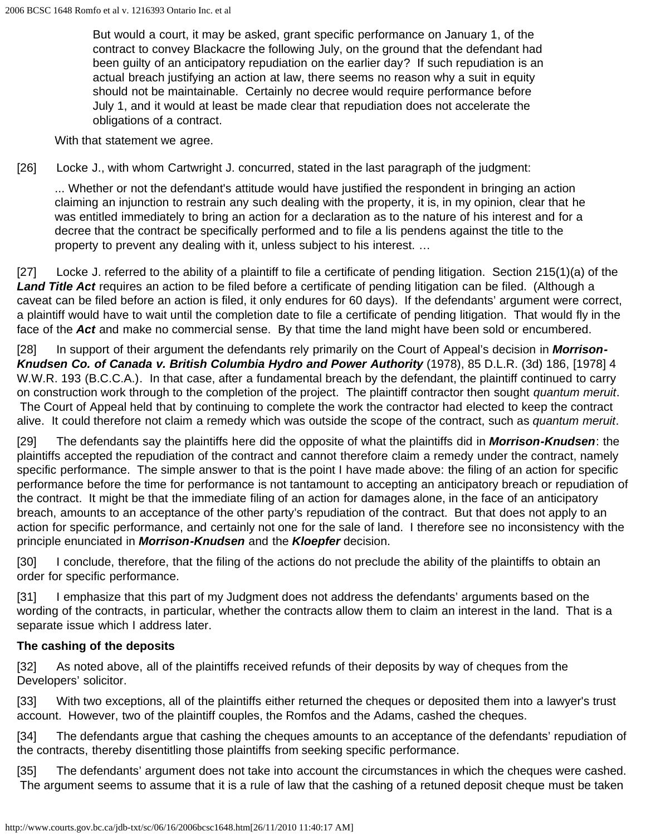But would a court, it may be asked, grant specific performance on January 1, of the contract to convey Blackacre the following July, on the ground that the defendant had been guilty of an anticipatory repudiation on the earlier day? If such repudiation is an actual breach justifying an action at law, there seems no reason why a suit in equity should not be maintainable. Certainly no decree would require performance before July 1, and it would at least be made clear that repudiation does not accelerate the obligations of a contract.

With that statement we agree.

[26] Locke J., with whom Cartwright J. concurred, stated in the last paragraph of the judgment:

... Whether or not the defendant's attitude would have justified the respondent in bringing an action claiming an injunction to restrain any such dealing with the property, it is, in my opinion, clear that he was entitled immediately to bring an action for a declaration as to the nature of his interest and for a decree that the contract be specifically performed and to file a lis pendens against the title to the property to prevent any dealing with it, unless subject to his interest. …

[27] Locke J. referred to the ability of a plaintiff to file a certificate of pending litigation. Section 215(1)(a) of the *Land Title Act* requires an action to be filed before a certificate of pending litigation can be filed. (Although a caveat can be filed before an action is filed, it only endures for 60 days). If the defendants' argument were correct, a plaintiff would have to wait until the completion date to file a certificate of pending litigation. That would fly in the face of the *Act* and make no commercial sense. By that time the land might have been sold or encumbered.

[28] In support of their argument the defendants rely primarily on the Court of Appeal's decision in *Morrison-***Knudsen Co. of Canada v. British Columbia Hydro and Power Authority (1978), 85 D.L.R. (3d) 186, [1978] 4** W.W.R. 193 (B.C.C.A.). In that case, after a fundamental breach by the defendant, the plaintiff continued to carry on construction work through to the completion of the project. The plaintiff contractor then sought *quantum meruit*. The Court of Appeal held that by continuing to complete the work the contractor had elected to keep the contract alive. It could therefore not claim a remedy which was outside the scope of the contract, such as *quantum meruit*.

[29] The defendants say the plaintiffs here did the opposite of what the plaintiffs did in *Morrison-Knudsen*: the plaintiffs accepted the repudiation of the contract and cannot therefore claim a remedy under the contract, namely specific performance. The simple answer to that is the point I have made above: the filing of an action for specific performance before the time for performance is not tantamount to accepting an anticipatory breach or repudiation of the contract. It might be that the immediate filing of an action for damages alone, in the face of an anticipatory breach, amounts to an acceptance of the other party's repudiation of the contract. But that does not apply to an action for specific performance, and certainly not one for the sale of land. I therefore see no inconsistency with the principle enunciated in *Morrison-Knudsen* and the *Kloepfer* decision.

[30] I conclude, therefore, that the filing of the actions do not preclude the ability of the plaintiffs to obtain an order for specific performance.

[31] I emphasize that this part of my Judgment does not address the defendants' arguments based on the wording of the contracts, in particular, whether the contracts allow them to claim an interest in the land. That is a separate issue which I address later.

## **The cashing of the deposits**

[32] As noted above, all of the plaintiffs received refunds of their deposits by way of cheques from the Developers' solicitor.

[33] With two exceptions, all of the plaintiffs either returned the cheques or deposited them into a lawyer's trust account. However, two of the plaintiff couples, the Romfos and the Adams, cashed the cheques.

[34] The defendants argue that cashing the cheques amounts to an acceptance of the defendants' repudiation of the contracts, thereby disentitling those plaintiffs from seeking specific performance.

[35] The defendants' argument does not take into account the circumstances in which the cheques were cashed. The argument seems to assume that it is a rule of law that the cashing of a retuned deposit cheque must be taken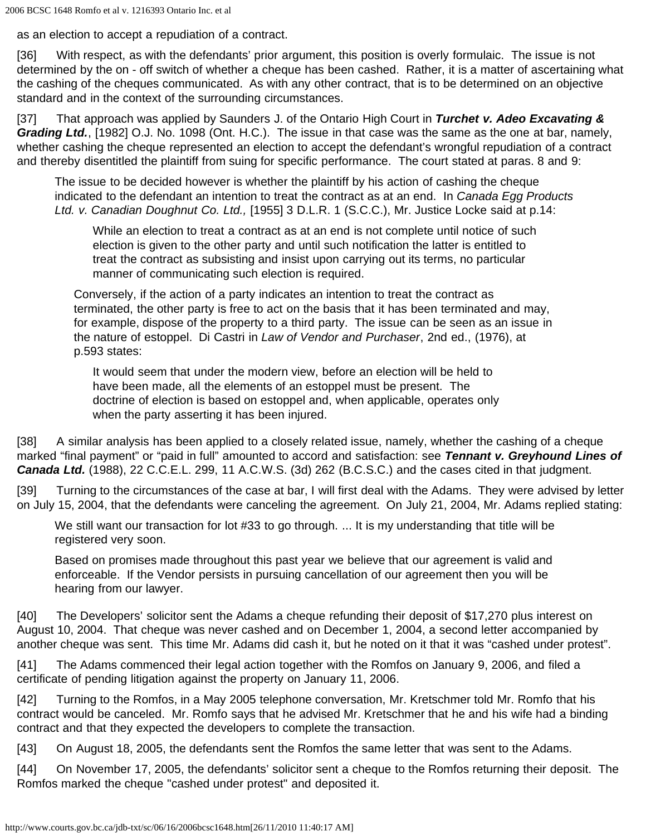as an election to accept a repudiation of a contract.

[36] With respect, as with the defendants' prior argument, this position is overly formulaic. The issue is not determined by the on - off switch of whether a cheque has been cashed. Rather, it is a matter of ascertaining what the cashing of the cheques communicated. As with any other contract, that is to be determined on an objective standard and in the context of the surrounding circumstances.

[37] That approach was applied by Saunders J. of the Ontario High Court in *Turchet v. Adeo Excavating & Grading Ltd.*, [1982] O.J. No. 1098 (Ont. H.C.). The issue in that case was the same as the one at bar, namely, whether cashing the cheque represented an election to accept the defendant's wrongful repudiation of a contract and thereby disentitled the plaintiff from suing for specific performance. The court stated at paras. 8 and 9:

The issue to be decided however is whether the plaintiff by his action of cashing the cheque indicated to the defendant an intention to treat the contract as at an end. In *Canada Egg Products Ltd. v. Canadian Doughnut Co. Ltd.,* [1955] 3 D.L.R. 1 (S.C.C.), Mr. Justice Locke said at p.14:

While an election to treat a contract as at an end is not complete until notice of such election is given to the other party and until such notification the latter is entitled to treat the contract as subsisting and insist upon carrying out its terms, no particular manner of communicating such election is required.

Conversely, if the action of a party indicates an intention to treat the contract as terminated, the other party is free to act on the basis that it has been terminated and may, for example, dispose of the property to a third party. The issue can be seen as an issue in the nature of estoppel. Di Castri in *Law of Vendor and Purchaser*, 2nd ed., (1976), at p.593 states:

It would seem that under the modern view, before an election will be held to have been made, all the elements of an estoppel must be present. The doctrine of election is based on estoppel and, when applicable, operates only when the party asserting it has been injured.

[38] A similar analysis has been applied to a closely related issue, namely, whether the cashing of a cheque marked "final payment" or "paid in full" amounted to accord and satisfaction: see *Tennant v. Greyhound Lines of Canada Ltd.* (1988), 22 C.C.E.L. 299, 11 A.C.W.S. (3d) 262 (B.C.S.C.) and the cases cited in that judgment.

[39] Turning to the circumstances of the case at bar, I will first deal with the Adams. They were advised by letter on July 15, 2004, that the defendants were canceling the agreement. On July 21, 2004, Mr. Adams replied stating:

We still want our transaction for lot #33 to go through. ... It is my understanding that title will be registered very soon.

Based on promises made throughout this past year we believe that our agreement is valid and enforceable. If the Vendor persists in pursuing cancellation of our agreement then you will be hearing from our lawyer.

[40] The Developers' solicitor sent the Adams a cheque refunding their deposit of \$17,270 plus interest on August 10, 2004. That cheque was never cashed and on December 1, 2004, a second letter accompanied by another cheque was sent. This time Mr. Adams did cash it, but he noted on it that it was "cashed under protest".

[41] The Adams commenced their legal action together with the Romfos on January 9, 2006, and filed a certificate of pending litigation against the property on January 11, 2006.

[42] Turning to the Romfos, in a May 2005 telephone conversation, Mr. Kretschmer told Mr. Romfo that his contract would be canceled. Mr. Romfo says that he advised Mr. Kretschmer that he and his wife had a binding contract and that they expected the developers to complete the transaction.

[43] On August 18, 2005, the defendants sent the Romfos the same letter that was sent to the Adams.

[44] On November 17, 2005, the defendants' solicitor sent a cheque to the Romfos returning their deposit. The Romfos marked the cheque "cashed under protest" and deposited it.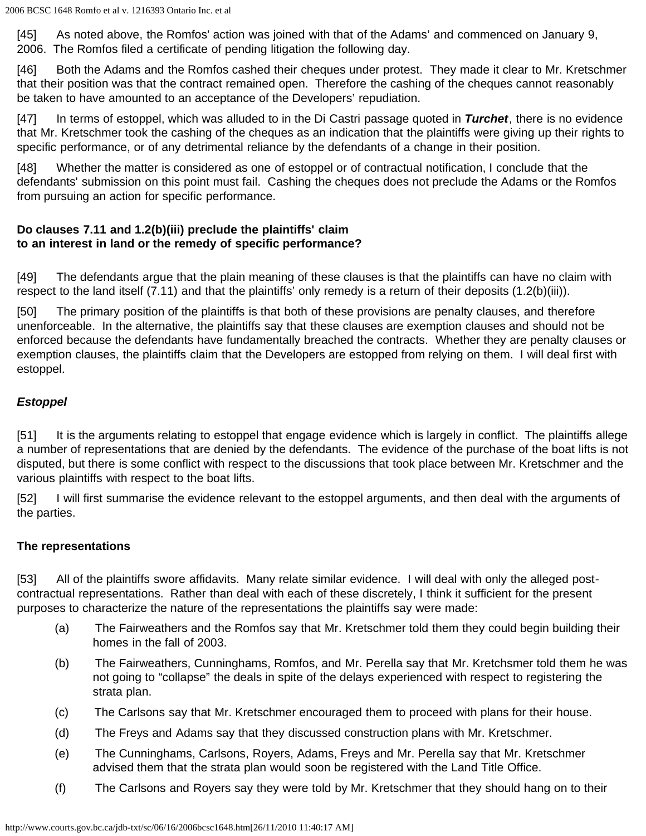[45] As noted above, the Romfos' action was joined with that of the Adams' and commenced on January 9, 2006. The Romfos filed a certificate of pending litigation the following day.

[46] Both the Adams and the Romfos cashed their cheques under protest. They made it clear to Mr. Kretschmer that their position was that the contract remained open. Therefore the cashing of the cheques cannot reasonably be taken to have amounted to an acceptance of the Developers' repudiation.

[47] In terms of estoppel, which was alluded to in the Di Castri passage quoted in *Turchet*, there is no evidence that Mr. Kretschmer took the cashing of the cheques as an indication that the plaintiffs were giving up their rights to specific performance, or of any detrimental reliance by the defendants of a change in their position.

[48] Whether the matter is considered as one of estoppel or of contractual notification, I conclude that the defendants' submission on this point must fail. Cashing the cheques does not preclude the Adams or the Romfos from pursuing an action for specific performance.

## **Do clauses 7.11 and 1.2(b)(iii) preclude the plaintiffs' claim to an interest in land or the remedy of specific performance?**

[49] The defendants argue that the plain meaning of these clauses is that the plaintiffs can have no claim with respect to the land itself (7.11) and that the plaintiffs' only remedy is a return of their deposits (1.2(b)(iii)).

[50] The primary position of the plaintiffs is that both of these provisions are penalty clauses, and therefore unenforceable. In the alternative, the plaintiffs say that these clauses are exemption clauses and should not be enforced because the defendants have fundamentally breached the contracts. Whether they are penalty clauses or exemption clauses, the plaintiffs claim that the Developers are estopped from relying on them. I will deal first with estoppel.

# *Estoppel*

[51] It is the arguments relating to estoppel that engage evidence which is largely in conflict. The plaintiffs allege a number of representations that are denied by the defendants. The evidence of the purchase of the boat lifts is not disputed, but there is some conflict with respect to the discussions that took place between Mr. Kretschmer and the various plaintiffs with respect to the boat lifts.

[52] I will first summarise the evidence relevant to the estoppel arguments, and then deal with the arguments of the parties.

## **The representations**

[53] All of the plaintiffs swore affidavits. Many relate similar evidence. I will deal with only the alleged postcontractual representations. Rather than deal with each of these discretely, I think it sufficient for the present purposes to characterize the nature of the representations the plaintiffs say were made:

- (a) The Fairweathers and the Romfos say that Mr. Kretschmer told them they could begin building their homes in the fall of 2003.
- (b) The Fairweathers, Cunninghams, Romfos, and Mr. Perella say that Mr. Kretchsmer told them he was not going to "collapse" the deals in spite of the delays experienced with respect to registering the strata plan.
- (c) The Carlsons say that Mr. Kretschmer encouraged them to proceed with plans for their house.
- (d) The Freys and Adams say that they discussed construction plans with Mr. Kretschmer.
- (e) The Cunninghams, Carlsons, Royers, Adams, Freys and Mr. Perella say that Mr. Kretschmer advised them that the strata plan would soon be registered with the Land Title Office.
- (f) The Carlsons and Royers say they were told by Mr. Kretschmer that they should hang on to their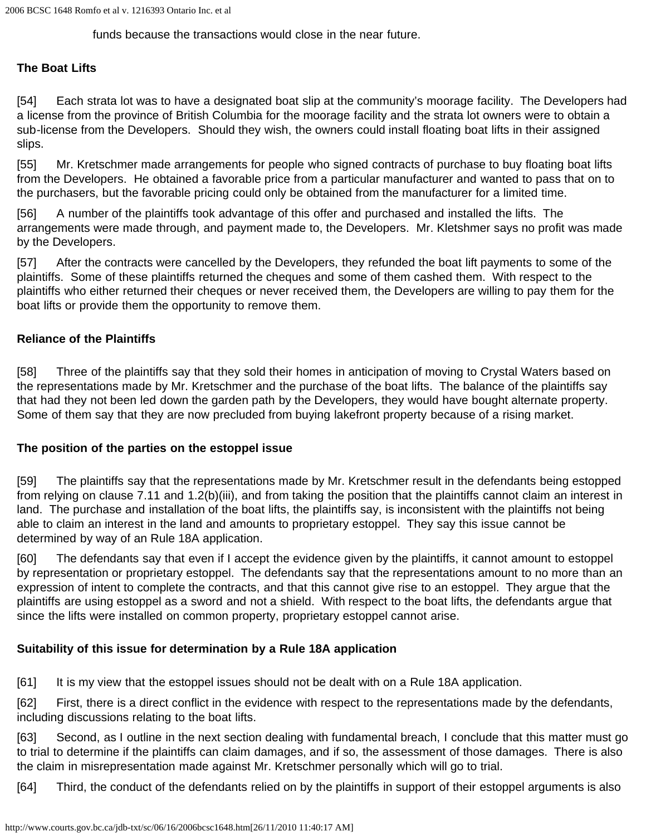funds because the transactions would close in the near future.

## **The Boat Lifts**

[54] Each strata lot was to have a designated boat slip at the community's moorage facility. The Developers had a license from the province of British Columbia for the moorage facility and the strata lot owners were to obtain a sub-license from the Developers. Should they wish, the owners could install floating boat lifts in their assigned slips.

[55] Mr. Kretschmer made arrangements for people who signed contracts of purchase to buy floating boat lifts from the Developers. He obtained a favorable price from a particular manufacturer and wanted to pass that on to the purchasers, but the favorable pricing could only be obtained from the manufacturer for a limited time.

[56] A number of the plaintiffs took advantage of this offer and purchased and installed the lifts. The arrangements were made through, and payment made to, the Developers. Mr. Kletshmer says no profit was made by the Developers.

[57] After the contracts were cancelled by the Developers, they refunded the boat lift payments to some of the plaintiffs. Some of these plaintiffs returned the cheques and some of them cashed them. With respect to the plaintiffs who either returned their cheques or never received them, the Developers are willing to pay them for the boat lifts or provide them the opportunity to remove them.

#### **Reliance of the Plaintiffs**

[58] Three of the plaintiffs say that they sold their homes in anticipation of moving to Crystal Waters based on the representations made by Mr. Kretschmer and the purchase of the boat lifts. The balance of the plaintiffs say that had they not been led down the garden path by the Developers, they would have bought alternate property. Some of them say that they are now precluded from buying lakefront property because of a rising market.

#### **The position of the parties on the estoppel issue**

[59] The plaintiffs say that the representations made by Mr. Kretschmer result in the defendants being estopped from relying on clause 7.11 and 1.2(b)(iii), and from taking the position that the plaintiffs cannot claim an interest in land. The purchase and installation of the boat lifts, the plaintiffs say, is inconsistent with the plaintiffs not being able to claim an interest in the land and amounts to proprietary estoppel. They say this issue cannot be determined by way of an Rule 18A application.

[60] The defendants say that even if I accept the evidence given by the plaintiffs, it cannot amount to estoppel by representation or proprietary estoppel. The defendants say that the representations amount to no more than an expression of intent to complete the contracts, and that this cannot give rise to an estoppel. They argue that the plaintiffs are using estoppel as a sword and not a shield. With respect to the boat lifts, the defendants argue that since the lifts were installed on common property, proprietary estoppel cannot arise.

## **Suitability of this issue for determination by a Rule 18A application**

[61] It is my view that the estoppel issues should not be dealt with on a Rule 18A application.

[62] First, there is a direct conflict in the evidence with respect to the representations made by the defendants, including discussions relating to the boat lifts.

[63] Second, as I outline in the next section dealing with fundamental breach, I conclude that this matter must go to trial to determine if the plaintiffs can claim damages, and if so, the assessment of those damages. There is also the claim in misrepresentation made against Mr. Kretschmer personally which will go to trial.

[64] Third, the conduct of the defendants relied on by the plaintiffs in support of their estoppel arguments is also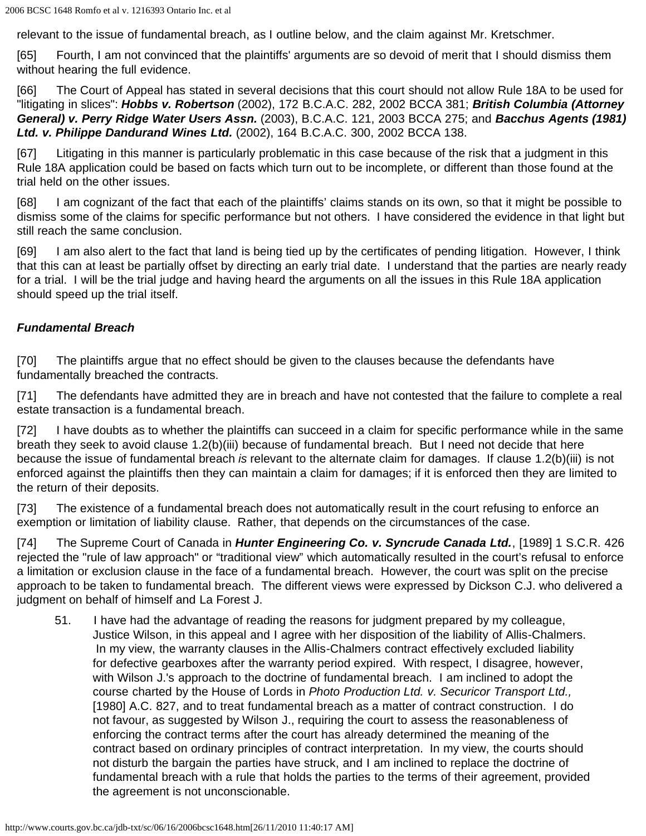relevant to the issue of fundamental breach, as I outline below, and the claim against Mr. Kretschmer.

[65] Fourth, I am not convinced that the plaintiffs' arguments are so devoid of merit that I should dismiss them without hearing the full evidence.

[66] The Court of Appeal has stated in several decisions that this court should not allow Rule 18A to be used for "litigating in slices": *Hobbs v. Robertson* (2002), 172 B.C.A.C. 282, 2002 BCCA 381; *British Columbia (Attorney General) v. Perry Ridge Water Users Assn.* (2003), B.C.A.C. 121, 2003 BCCA 275; and *Bacchus Agents (1981) Ltd. v. Philippe Dandurand Wines Ltd.* (2002), 164 B.C.A.C. 300, 2002 BCCA 138.

[67] Litigating in this manner is particularly problematic in this case because of the risk that a judgment in this Rule 18A application could be based on facts which turn out to be incomplete, or different than those found at the trial held on the other issues.

[68] I am cognizant of the fact that each of the plaintiffs' claims stands on its own, so that it might be possible to dismiss some of the claims for specific performance but not others. I have considered the evidence in that light but still reach the same conclusion.

[69] I am also alert to the fact that land is being tied up by the certificates of pending litigation. However, I think that this can at least be partially offset by directing an early trial date. I understand that the parties are nearly ready for a trial. I will be the trial judge and having heard the arguments on all the issues in this Rule 18A application should speed up the trial itself.

# *Fundamental Breach*

[70] The plaintiffs argue that no effect should be given to the clauses because the defendants have fundamentally breached the contracts.

[71] The defendants have admitted they are in breach and have not contested that the failure to complete a real estate transaction is a fundamental breach.

[72] I have doubts as to whether the plaintiffs can succeed in a claim for specific performance while in the same breath they seek to avoid clause 1.2(b)(iii) because of fundamental breach. But I need not decide that here because the issue of fundamental breach *is* relevant to the alternate claim for damages. If clause 1.2(b)(iii) is not enforced against the plaintiffs then they can maintain a claim for damages; if it is enforced then they are limited to the return of their deposits.

[73] The existence of a fundamental breach does not automatically result in the court refusing to enforce an exemption or limitation of liability clause. Rather, that depends on the circumstances of the case.

[74] The Supreme Court of Canada in *Hunter Engineering Co. v. Syncrude Canada Ltd.*, [1989] 1 S.C.R. 426 rejected the "rule of law approach" or "traditional view" which automatically resulted in the court's refusal to enforce a limitation or exclusion clause in the face of a fundamental breach. However, the court was split on the precise approach to be taken to fundamental breach. The different views were expressed by Dickson C.J. who delivered a judgment on behalf of himself and La Forest J.

51. I have had the advantage of reading the reasons for judgment prepared by my colleague, Justice Wilson, in this appeal and I agree with her disposition of the liability of Allis-Chalmers. In my view, the warranty clauses in the Allis-Chalmers contract effectively excluded liability for defective gearboxes after the warranty period expired. With respect, I disagree, however, with Wilson J.'s approach to the doctrine of fundamental breach. I am inclined to adopt the course charted by the House of Lords in *Photo Production Ltd. v. Securicor Transport Ltd.,* [1980] A.C. 827, and to treat fundamental breach as a matter of contract construction. I do not favour, as suggested by Wilson J., requiring the court to assess the reasonableness of enforcing the contract terms after the court has already determined the meaning of the contract based on ordinary principles of contract interpretation. In my view, the courts should not disturb the bargain the parties have struck, and I am inclined to replace the doctrine of fundamental breach with a rule that holds the parties to the terms of their agreement, provided the agreement is not unconscionable.